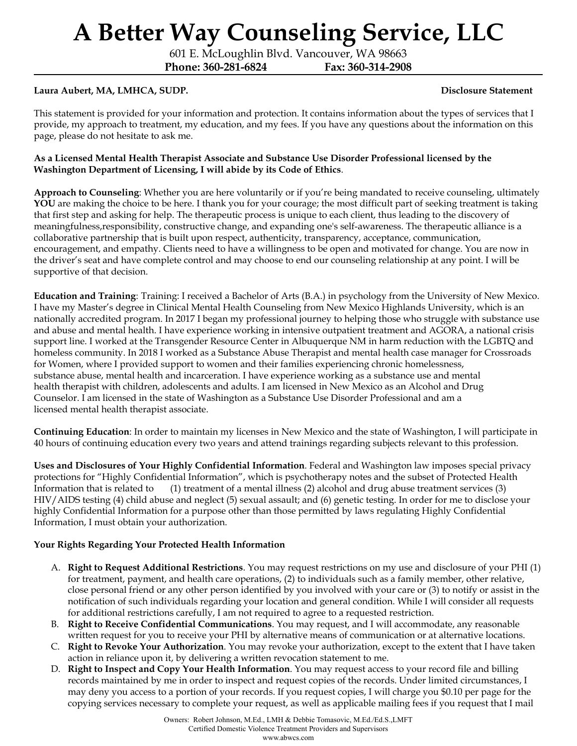601 E. McLoughlin Blvd. Vancouver, WA 98663

**Phone: 360-281-6824 Fax: 360-314-2908**

### **Laura Aubert, MA, LMHCA, SUDP. Disclosure Statement**

This statement is provided for your information and protection. It contains information about the types of services that I provide, my approach to treatment, my education, and my fees. If you have any questions about the information on this page, please do not hesitate to ask me.

#### **As a Licensed Mental Health Therapist Associate and Substance Use Disorder Professional licensed by the Washington Department of Licensing, I will abide by its Code of Ethics**.

**Approach to Counseling**: Whether you are here voluntarily or if you're being mandated to receive counseling, ultimately YOU are making the choice to be here. I thank you for your courage; the most difficult part of seeking treatment is taking that first step and asking for help. The therapeutic process is unique to each client, thus leading to the discovery of meaningfulness,responsibility, constructive change, and expanding one's self-awareness. The therapeutic alliance is a collaborative partnership that is built upon respect, authenticity, transparency, acceptance, communication, encouragement, and empathy. Clients need to have a willingness to be open and motivated for change. You are now in the driver's seat and have complete control and may choose to end our counseling relationship at any point. I will be supportive of that decision.

**Education and Training**: Training: I received a Bachelor of Arts (B.A.) in psychology from the University of New Mexico. I have my Master's degree in Clinical Mental Health Counseling from New Mexico Highlands University, which is an nationally accredited program. In 2017 I began my professional journey to helping those who struggle with substance use and abuse and mental health. I have experience working in intensive outpatient treatment and AGORA, a national crisis support line. I worked at the Transgender Resource Center in Albuquerque NM in harm reduction with the LGBTQ and homeless community. In 2018 I worked as a Substance Abuse Therapist and mental health case manager for Crossroads for Women, where I provided support to women and their families experiencing chronic homelessness, substance abuse, mental health and incarceration. I have experience working as a substance use and mental health therapist with children, adolescents and adults. I am licensed in New Mexico as an Alcohol and Drug Counselor. I am licensed in the state of Washington as a Substance Use Disorder Professional and am a licensed mental health therapist associate.

**Continuing Education**: In order to maintain my licenses in New Mexico and the state of Washington, I will participate in 40 hours of continuing education every two years and attend trainings regarding subjects relevant to this profession.

**Uses and Disclosures of Your Highly Confidential Information**. Federal and Washington law imposes special privacy protections for "Highly Confidential Information", which is psychotherapy notes and the subset of Protected Health Information that is related to (1) treatment of a mental illness (2) alcohol and drug abuse treatment services (3) HIV/AIDS testing (4) child abuse and neglect (5) sexual assault; and (6) genetic testing. In order for me to disclose your highly Confidential Information for a purpose other than those permitted by laws regulating Highly Confidential Information, I must obtain your authorization.

#### **Your Rights Regarding Your Protected Health Information**

- A. **Right to Request Additional Restrictions**. You may request restrictions on my use and disclosure of your PHI (1) for treatment, payment, and health care operations, (2) to individuals such as a family member, other relative, close personal friend or any other person identified by you involved with your care or (3) to notify or assist in the notification of such individuals regarding your location and general condition. While I will consider all requests for additional restrictions carefully, I am not required to agree to a requested restriction.
- B. **Right to Receive Confidential Communications**. You may request, and I will accommodate, any reasonable written request for you to receive your PHI by alternative means of communication or at alternative locations.
- C. **Right to Revoke Your Authorization**. You may revoke your authorization, except to the extent that I have taken action in reliance upon it, by delivering a written revocation statement to me.
- D. **Right to Inspect and Copy Your Health Information**. You may request access to your record file and billing records maintained by me in order to inspect and request copies of the records. Under limited circumstances, I may deny you access to a portion of your records. If you request copies, I will charge you \$0.10 per page for the copying services necessary to complete your request, as well as applicable mailing fees if you request that I mail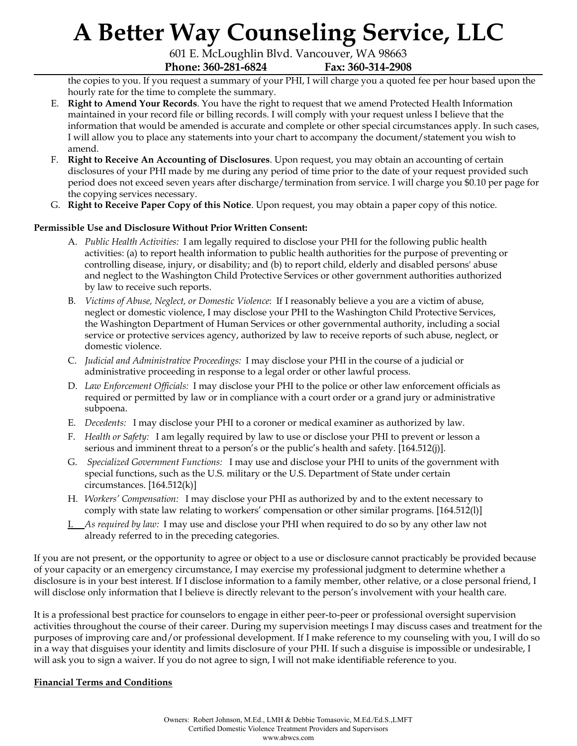601 E. McLoughlin Blvd. Vancouver, WA 98663 **Phone: 360-281-6824 Fax: 360-314-2908**

the copies to you. If you request a summary of your PHI, I will charge you a quoted fee per hour based upon the hourly rate for the time to complete the summary.

- E. **Right to Amend Your Records**. You have the right to request that we amend Protected Health Information maintained in your record file or billing records. I will comply with your request unless I believe that the information that would be amended is accurate and complete or other special circumstances apply. In such cases, I will allow you to place any statements into your chart to accompany the document/statement you wish to amend.
- F. **Right to Receive An Accounting of Disclosures**. Upon request, you may obtain an accounting of certain disclosures of your PHI made by me during any period of time prior to the date of your request provided such period does not exceed seven years after discharge/termination from service. I will charge you \$0.10 per page for the copying services necessary.
- G. **Right to Receive Paper Copy of this Notice**. Upon request, you may obtain a paper copy of this notice.

### **Permissible Use and Disclosure Without Prior Written Consent:**

- A. *Public Health Activities:* I am legally required to disclose your PHI for the following public health activities: (a) to report health information to public health authorities for the purpose of preventing or controlling disease, injury, or disability; and (b) to report child, elderly and disabled persons' abuse and neglect to the Washington Child Protective Services or other government authorities authorized by law to receive such reports.
- B. *Victims of Abuse, Neglect, or Domestic Violence*: If I reasonably believe a you are a victim of abuse, neglect or domestic violence, I may disclose your PHI to the Washington Child Protective Services, the Washington Department of Human Services or other governmental authority, including a social service or protective services agency, authorized by law to receive reports of such abuse, neglect, or domestic violence.
- C. *Judicial and Administrative Proceedings:* I may disclose your PHI in the course of a judicial or administrative proceeding in response to a legal order or other lawful process.
- D. *Law Enforcement Of icials:* I may disclose your PHI to the police or other law enforcement officials as required or permitted by law or in compliance with a court order or a grand jury or administrative subpoena.
- E. *Decedents:* I may disclose your PHI to a coroner or medical examiner as authorized by law.
- F. *Health or Safety:* I am legally required by law to use or disclose your PHI to prevent or lesson a serious and imminent threat to a person's or the public's health and safety. [164.512(j)].
- G. *Specialized Government Functions:* I may use and disclose your PHI to units of the government with special functions, such as the U.S. military or the U.S. Department of State under certain circumstances.  $[164.512(k)]$
- H. *Workers' Compensation:* I may disclose your PHI as authorized by and to the extent necessary to comply with state law relating to workers' compensation or other similar programs. [164.512(l)]
- I. *As required by law:* I may use and disclose your PHI when required to do so by any other law not already referred to in the preceding categories.

If you are not present, or the opportunity to agree or object to a use or disclosure cannot practicably be provided because of your capacity or an emergency circumstance, I may exercise my professional judgment to determine whether a disclosure is in your best interest. If I disclose information to a family member, other relative, or a close personal friend, I will disclose only information that I believe is directly relevant to the person's involvement with your health care.

It is a professional best practice for counselors to engage in either peer-to-peer or professional oversight supervision activities throughout the course of their career. During my supervision meetings I may discuss cases and treatment for the purposes of improving care and/or professional development. If I make reference to my counseling with you, I will do so in a way that disguises your identity and limits disclosure of your PHI. If such a disguise is impossible or undesirable, I will ask you to sign a waiver. If you do not agree to sign, I will not make identifiable reference to you.

### **Financial Terms and Conditions**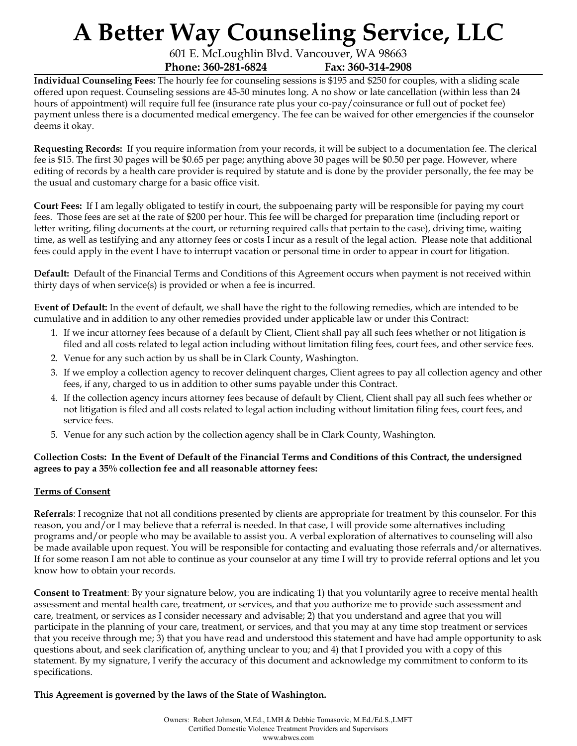601 E. McLoughlin Blvd. Vancouver, WA 98663 **Phone: 360-281-6824 Fax: 360-314-2908**

**Individual Counseling Fees:** The hourly fee for counseling sessions is \$195 and \$250 for couples, with a sliding scale offered upon request. Counseling sessions are 45-50 minutes long. A no show or late cancellation (within less than 24 hours of appointment) will require full fee (insurance rate plus your co-pay/coinsurance or full out of pocket fee) payment unless there is a documented medical emergency. The fee can be waived for other emergencies if the counselor deems it okay.

**Requesting Records:** If you require information from your records, it will be subject to a documentation fee. The clerical fee is \$15. The first 30 pages will be \$0.65 per page; anything above 30 pages will be \$0.50 per page. However, where editing of records by a health care provider is required by statute and is done by the provider personally, the fee may be the usual and customary charge for a basic office visit.

**Court Fees:** If I am legally obligated to testify in court, the subpoenaing party will be responsible for paying my court fees. Those fees are set at the rate of \$200 per hour. This fee will be charged for preparation time (including report or letter writing, filing documents at the court, or returning required calls that pertain to the case), driving time, waiting time, as well as testifying and any attorney fees or costs I incur as a result of the legal action. Please note that additional fees could apply in the event I have to interrupt vacation or personal time in order to appear in court for litigation.

**Default:** Default of the Financial Terms and Conditions of this Agreement occurs when payment is not received within thirty days of when service(s) is provided or when a fee is incurred.

**Event of Default:** In the event of default, we shall have the right to the following remedies, which are intended to be cumulative and in addition to any other remedies provided under applicable law or under this Contract:

- 1. If we incur attorney fees because of a default by Client, Client shall pay all such fees whether or not litigation is filed and all costs related to legal action including without limitation filing fees, court fees, and other service fees.
- 2. Venue for any such action by us shall be in Clark County, Washington.
- 3. If we employ a collection agency to recover delinquent charges, Client agrees to pay all collection agency and other fees, if any, charged to us in addition to other sums payable under this Contract.
- 4. If the collection agency incurs attorney fees because of default by Client, Client shall pay all such fees whether or not litigation is filed and all costs related to legal action including without limitation filing fees, court fees, and service fees.
- 5. Venue for any such action by the collection agency shall be in Clark County, Washington.

### Collection Costs: In the Event of Default of the Financial Terms and Conditions of this Contract, the undersigned **agrees to pay a 35% collection fee and all reasonable attorney fees:**

### **Terms of Consent**

**Referrals**: I recognize that not all conditions presented by clients are appropriate for treatment by this counselor. For this reason, you and/or I may believe that a referral is needed. In that case, I will provide some alternatives including programs and/or people who may be available to assist you. A verbal exploration of alternatives to counseling will also be made available upon request. You will be responsible for contacting and evaluating those referrals and/or alternatives. If for some reason I am not able to continue as your counselor at any time I will try to provide referral options and let you know how to obtain your records.

**Consent to Treatment**: By your signature below, you are indicating 1) that you voluntarily agree to receive mental health assessment and mental health care, treatment, or services, and that you authorize me to provide such assessment and care, treatment, or services as I consider necessary and advisable; 2) that you understand and agree that you will participate in the planning of your care, treatment, or services, and that you may at any time stop treatment or services that you receive through me; 3) that you have read and understood this statement and have had ample opportunity to ask questions about, and seek clarification of, anything unclear to you; and 4) that I provided you with a copy of this statement. By my signature, I verify the accuracy of this document and acknowledge my commitment to conform to its specifications.

**This Agreement is governed by the laws of the State of Washington.**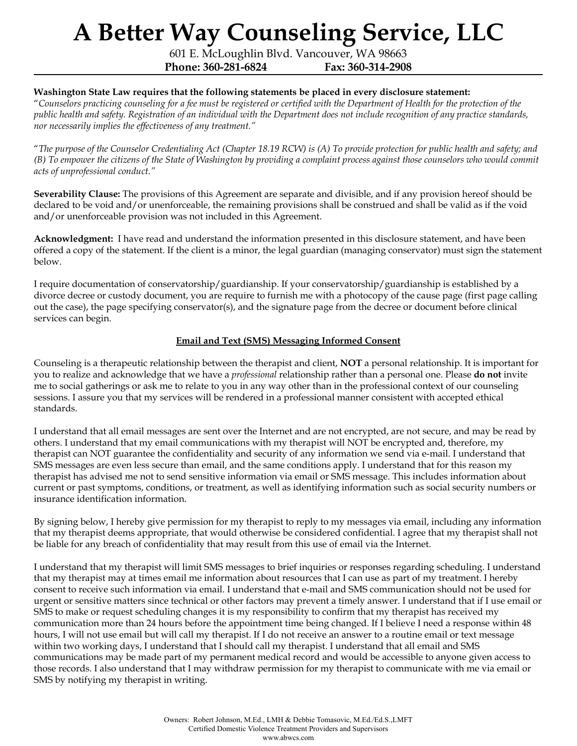601 E. McLoughlin Blvd. Vancouver, WA 98663 **Phone: 360-281-6824 Fax: 360-314-2908**

#### **Washington State Law requires that the following statements be placed in every disclosure statement:**

"Counselors practicing counseling for a fee must be registered or certified with the Department of Health for the protection of the public health and safety. Registration of an individual with the Department does not include recognition of any practice standards, *nor necessarily implies the ef ectiveness of any treatment."*

"The purpose of the Counselor Credentialing Act (Chapter 18.19 RCW) is (A) To provide protection for public health and safety; and (B) To empower the citizens of the State of Washington by providing a complaint process against those counselors who would commit *acts of unprofessional conduct."*

**Severability Clause:** The provisions of this Agreement are separate and divisible, and if any provision hereof should be declared to be void and/or unenforceable, the remaining provisions shall be construed and shall be valid as if the void and/or unenforceable provision was not included in this Agreement.

**Acknowledgment:** I have read and understand the information presented in this disclosure statement, and have been offered a copy of the statement. If the client is a minor, the legal guardian (managing conservator) must sign the statement below.

I require documentation of conservatorship/guardianship. If your conservatorship/guardianship is established by a divorce decree or custody document, you are require to furnish me with a photocopy of the cause page (first page calling out the case), the page specifying conservator(s), and the signature page from the decree or document before clinical services can begin.

#### **Email and Text (SMS) Messaging Informed Consent**

Counseling is a therapeutic relationship between the therapist and client, **NOT** a personal relationship. It is important for you to realize and acknowledge that we have a *professional* relationship rather than a personal one. Please **do not** invite me to social gatherings or ask me to relate to you in any way other than in the professional context of our counseling sessions. I assure you that my services will be rendered in a professional manner consistent with accepted ethical standards.

I understand that all email messages are sent over the Internet and are not encrypted, are not secure, and may be read by others. I understand that my email communications with my therapist will NOT be encrypted and, therefore, my therapist can NOT guarantee the confidentiality and security of any information we send via e-mail. I understand that SMS messages are even less secure than email, and the same conditions apply. I understand that for this reason my therapist has advised me not to send sensitive information via email or SMS message. This includes information about current or past symptoms, conditions, or treatment, as well as identifying information such as social security numbers or insurance identification information.

By signing below, I hereby give permission for my therapist to reply to my messages via email, including any information that my therapist deems appropriate, that would otherwise be considered confidential. I agree that my therapist shall not be liable for any breach of confidentiality that may result from this use of email via the Internet.

I understand that my therapist will limit SMS messages to brief inquiries or responses regarding scheduling. I understand that my therapist may at times email me information about resources that I can use as part of my treatment. I hereby consent to receive such information via email. I understand that e-mail and SMS communication should not be used for urgent or sensitive matters since technical or other factors may prevent a timely answer. I understand that if I use email or SMS to make or request scheduling changes it is my responsibility to confirm that my therapist has received my communication more than 24 hours before the appointment time being changed. If I believe I need a response within 48 hours, I will not use email but will call my therapist. If I do not receive an answer to a routine email or text message within two working days, I understand that I should call my therapist. I understand that all email and SMS communications may be made part of my permanent medical record and would be accessible to anyone given access to those records. I also understand that I may withdraw permission for my therapist to communicate with me via email or SMS by notifying my therapist in writing.